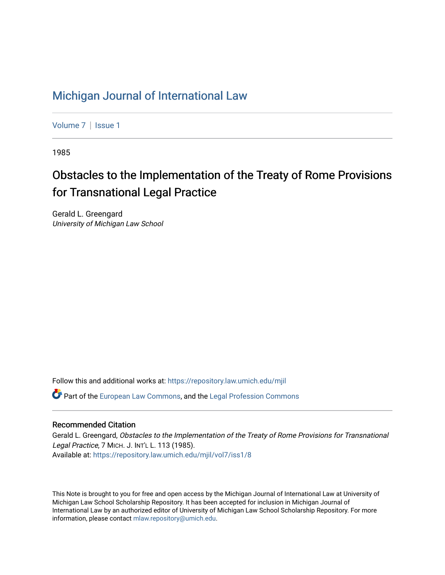## [Michigan Journal of International Law](https://repository.law.umich.edu/mjil)

[Volume 7](https://repository.law.umich.edu/mjil/vol7) | Issue 1

1985

# Obstacles to the Implementation of the Treaty of Rome Provisions for Transnational Legal Practice

Gerald L. Greengard University of Michigan Law School

Follow this and additional works at: [https://repository.law.umich.edu/mjil](https://repository.law.umich.edu/mjil?utm_source=repository.law.umich.edu%2Fmjil%2Fvol7%2Fiss1%2F8&utm_medium=PDF&utm_campaign=PDFCoverPages) 

 $\bullet$  Part of the [European Law Commons,](http://network.bepress.com/hgg/discipline/1084?utm_source=repository.law.umich.edu%2Fmjil%2Fvol7%2Fiss1%2F8&utm_medium=PDF&utm_campaign=PDFCoverPages) and the Legal Profession Commons

## Recommended Citation

Gerald L. Greengard, Obstacles to the Implementation of the Treaty of Rome Provisions for Transnational Legal Practice, 7 MICH. J. INT'L L. 113 (1985). Available at: [https://repository.law.umich.edu/mjil/vol7/iss1/8](https://repository.law.umich.edu/mjil/vol7/iss1/8?utm_source=repository.law.umich.edu%2Fmjil%2Fvol7%2Fiss1%2F8&utm_medium=PDF&utm_campaign=PDFCoverPages)

This Note is brought to you for free and open access by the Michigan Journal of International Law at University of Michigan Law School Scholarship Repository. It has been accepted for inclusion in Michigan Journal of International Law by an authorized editor of University of Michigan Law School Scholarship Repository. For more information, please contact [mlaw.repository@umich.edu](mailto:mlaw.repository@umich.edu).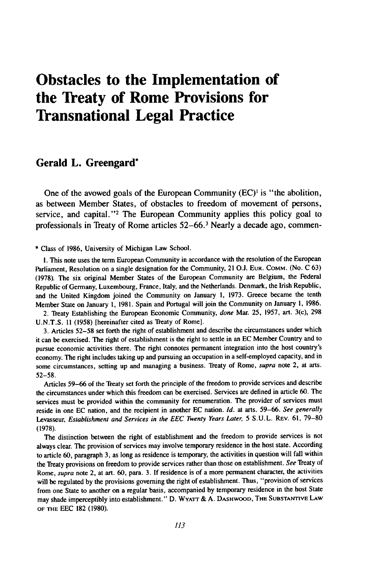## **Obstacles to the Implementation of the Treaty of Rome Provisions for Transnational Legal Practice**

### **Gerald L. Greengard\***

One of the avowed goals of the European Community (EC)<sup>1</sup> is "the abolition, as between Member States, of obstacles to freedom of movement of persons, service, and capital."<sup>2</sup> The European Community applies this policy goal to professionals in Treaty of Rome articles **52-66. <sup>3</sup>**Nearly a decade ago, commen-

**\*** Class of **1986,** University of Michigan Law School.

**I.** This note uses the term European Community in accordance with the resolution of the European Parliament, Resolution on a single designation for the Community, 21 **O.J. EUR. COMM.** (No. **C 63) (1978).** The six original Member States of the European Community are Belgium, the Federal Republic of Germany, Luxembourg, France, Italy, and the Netherlands. Denmark, the Irish Republic, and the United Kingdom joined the Community on January **1, 1973.** Greece became the tenth Member State on January **1, 1981.** Spain and Portugal will join the Community on January **1, 1986.**

2. Treaty Establishing the European Economic Community, done Mar. **25, 1957,** art. 3(c), **298 U.N.T.S. 11 (1958)** [hereinafter cited as Treaty of Rome].

**3.** Articles **52-58** set forth the right of establishment and describe the circumstances under which it can be exercised. The right of establishment is the right to settle in an **EC** Member Country and to pursue economic activities there. The right connotes permanent integration into the host country's economy. The right includes taking up and pursuing an occupation in a self-employed capacity, and in some circumstances, setting up and managing a business. Treaty of Rome, supra note 2, at arts. 52-58.

Articles 59-66 of the Treaty set forth the principle of the freedom to provide services and describe the circumstances under which this freedom can be exercised. Services are defined in article 60. The services must be provided within the community for renumeration. The provider of services must reside in one EC nation, and the recipient in another EC nation. *Id.* at arts. 59-66. *See generally* Levasseur, *Establishment and Services in the EEC Twenty Years Later,* 5 **S.U.L.** REV. 61, 79-80 (1978).

The distinction between the right of establishment and the freedom to provide services is not always clear. The provision of services may involve temporary residence in the host state. According to article 60, paragraph **3,** as long as residence is temporary, the activities in question will fall within the Treaty provisions on freedom to provide services rather than those on establishment. *See* Treaty of Rome, *supra* note 2, at art. 60, para. 3. If residence is of a more permanent character, the activities will be regulated **by** the provisions governing the right of establishment. Thus, "provision of services from one State to another on a regular basis, accompanied **by** temporary residence in the host State may shade imperceptibly into establishment." D. **WYA-rr** & A. DASHWOOD, THE SUBSTANTIVE **LAW** OF THE EEC **182** (1980).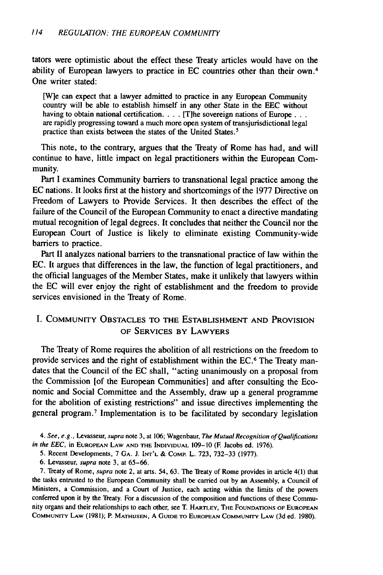tators were optimistic about the effect these Treaty articles would have on the ability of European lawyers to practice in EC countries other than their own.<sup>4</sup> One writer stated:

[W]e can expect that a lawyer admitted to practice in any European Community country will be able to establish himself in any other State in the EEC without having to obtain national certification. . . . [T]he sovereign nations of Europe. . . . are rapidly progressing toward a much more open system of transjurisdictional legal practice than exists between the states of the United States.<sup>5</sup>

This note, to the contrary, argues that the Treaty of Rome has had, and will continue to have, little impact on legal practitioners within the European Community.

Part I examines Community barriers to transnational legal practice among the EC nations. It looks first at the history and shortcomings of the 1977 Directive on Freedom of Lawyers to Provide Services. It then describes the effect of the failure of the Council of the European Community to enact a directive mandating mutual recognition of legal degrees. It concludes that neither the Council nor the European Court of Justice is likely to eliminate existing Community-wide barriers to practice.

Part II analyzes national barriers to the transnational practice of law within the EC. It argues that differences in the law, the function of legal practitioners, and the official languages of the Member States, make it unlikely that lawyers within the EC will ever enjoy the right of establishment and the freedom to provide services envisioned in the Treaty of Rome.

## I. COMMUNITY **OBSTACLES** TO **THE** ESTABLISHMENT **AND** PROVISION OF **SERVICES** BY LAWYERS

The Treaty of Rome requires the abolition of all restrictions on the freedom to provide services and the right of establishment within the EC.<sup>6</sup> The Treaty mandates that the Council of the EC shall, "acting unanimously on a proposal from the Commission [of the European Communities] and after consulting the Economic and Social Committee and the Assembly, draw up a general programme for the abolition of existing restrictions" and issue directives implementing the general program. 7 Implementation is to be facilitated by secondary legislation

4. See, e.g., Levasseur, supra note 3, at 106; Wagenbaur, The Mutual Recognition of Qualifications in the **EEC,** in **EUROPEAN** LAW **AND THE INDIVIDUAL** 109-10 **(E** Jacobs ed. 1976).

6. Levasseur, supra note 3, at 65-66.

7. Treaty of Rome, *supra* note 2, at arts. 54, 63. The Treaty of Rome provides in article 4(1) that the tasks entrusted to the European Community shall be carried out by an Assembly, a Council of Ministers, a Commission, and a Court of Justice, each acting within the limits of the powers conferred upon it by the Treaty. For a discussion of the composition and functions of these Community organs and their relationships to each other, see T. HARTLEY, THE FOUNDAnONS OF **EUROPEAN** COMMUNITY LAW **(1981);** P. **MATHUSEN, A** GUIDE TO **EUROPEAN** COMMUNITY LAW (3d ed. 1980).

<sup>5.</sup> Recent Developments, 7 **GA. J. INT'L** & **COMp.** L. 723, 732-33 (1977).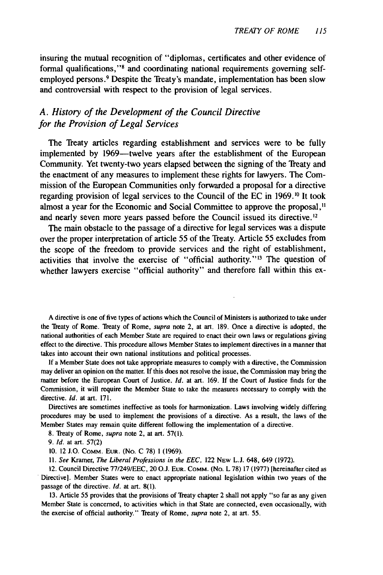insuring the mutual recognition of "diplomas, certificates and other evidence of formal qualifications,"<sup>8</sup> and coordinating national requirements governing selfemployed persons. 9 Despite the Treaty's mandate, implementation has been slow and controversial with respect to the provision of legal services.

## *A. History of the Development of the Council Directive for the Provision of Legal Services*

The Treaty articles regarding establishment and services were to be fully implemented by 1969—twelve years after the establishment of the European Community. Yet twenty-two years elapsed between the signing of the Treaty and the enactment of any measures to implement these rights for lawyers. The Commission of the European Communities only forwarded a proposal for a directive regarding provision of legal services to the Council of the EC in 1969.10 It took almost a year for the Economic and Social Committee to approve the proposal,'" and nearly seven more years passed before the Council issued its directive.<sup>12</sup>

The main obstacle to the passage of a directive for legal services was a dispute over the proper interpretation of article 55 of the Treaty. Article 55 excludes from the scope of the freedom to provide services and the right of establishment, activities that involve the exercise of "official authority."<sup>13</sup> The question of whether lawyers exercise "official authority" and therefore fall within this ex-

A directive is one of five types of actions which the Council of Ministers is authorized to take under the Treaty of Rome. Treaty of Rome, supra note 2, at art. **189.** Once a directive is adopted, the national authorities of each Member State are required to enact their own laws or regulations giving effect to the directive. **This** procedure allows Member States to implement directives in a manner that takes into account their own national institutions and political processes.

**If** a Member State does not take appropriate measures to comply with a directive, the Commission may deliver an opinion on the matter. **If** this does not resolve the issue, the Commission may bring the matter before the European Court of Justice. *Id.* at art. **169. If** the Court of Justice finds for the Commission, it will require the Member State to take the measures necessary to comply with the directive. *Id.* at art. **171.**

Directives are sometimes ineffective as tools for harmonization. Laws involving widely differing procedures may be used to implement the provisions of a directive. As a result, the laws of the Member States may remain quite different following the implementation of a directive.

**8.** Treaty of Rome, supra note 2, at art. **57(1).**

**9.** *Id.* at art. **57(2)**

**10.** 12 **J.O. COMM. EUR.** (No. **C 78) 1 (1969).**

**11.** *See* Kramer, *The* Liberal *Professions in the EEC,* 122 **NEw L.J.** 648, 649 **(1972).**

12. Council Directive **77/249/EEC,** 20 **O.J. EUR. COMM.** (No. L **78) 17 (1977)** [hereinafter cited as Directive]. Member States were to enact appropriate national legislation within two years of the passage of the directive. *Id.* at art. **8(1).**

**13.** Article 55 provides that the provisions of Treaty chapter 2 shall not apply "so far as any given Member State is concerned, to activities which in that State are connected, even occasionally, with the exercise of official authority." Treaty of Rome, *supra* note 2, at art. **55.**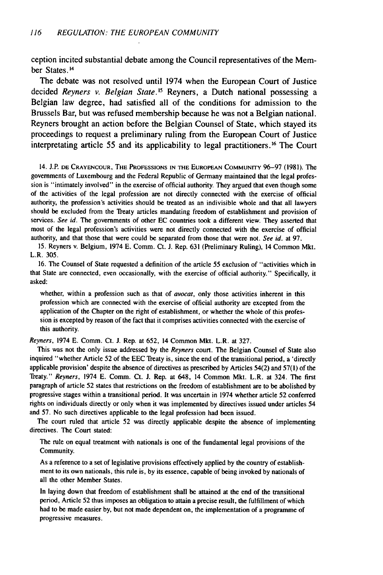ception incited substantial debate among the Council representatives of the Member States. 14

The debate was not resolved until 1974 when the European Court of Justice decided *Reyners v. Belgian State.'5* Reyners, a Dutch national possessing a Belgian law degree, had satisfied all of the conditions for admission to the Brussels Bar, but was refused membership because he was not a Belgian national. Reyners brought an action before the Belgian Counsel of State, which stayed its proceedings to request a preliminary ruling from the European Court of Justice interpretating article 55 and its applicability to legal practitioners.<sup>16</sup> The Court

14. J.P. **DE** CRAYENCOUR, THE **PROFESSIONS IN** THE **EUROPEAN** COMMUNITY 96-97 (1981). The governments of Luxembourg and the Federal Republic of Germany maintained that the legal profession is "intimately involved" in the exercise of official authority. They argued that even though some of the activities of the legal profession are not directly connected with the exercise of official authority, the profession's activities should be treated as an indivisible whole and that all lawyers should be excluded from the Treaty articles mandating freedom of establishment and provision of services. *See* id. The governments of other EC countries took a different view. They asserted that most of the legal profession's activities were not directly connected with the exercise of official authority, and that those that were could be separated from those that were not. *See id.* at 97.

15. Reyners v. Belgium, 1974 E. Comm. Ct. **J.** Rep. 631 (Preliminary Ruling), 14 Common Mkt. L.R. 305.

16. The Counsel of State requested a definition of the article 55 exclusion of "activities which in that State are connected, even occasionally, with the exercise of official authority." Specifically, it asked:

whether, within a profession such as that of *avocat,* only those activities inherent in this profession which are connected with the exercise of official authority are excepted from the application of the Chapter on the right of establishment, or whether the whole of this profession is excepted by reason of the fact that it comprises activities connected with the exercise of this authority.

*Reyners,* 1974 E. Comm. Ct. J. Rep. at 652, 14 Common Mkt. L.R. at 327.

This was not the only issue addressed by the *Reyners* court. The Belgian Counsel of State also inquired "whether Article 52 of the EEC Treaty is, since the end of the transitional period, a 'directly applicable provision' despite the absence of directives as prescribed by Articles 54(2) and 57(l) of the Treaty." *Reyners,* 1974 E. Comm. Ct. J. Rep. at 648, 14 Common Mkt. L.R. at 324. The first paragraph of article 52 states that restrictions on the freedom of establishment are to be abolished by progressive stages within a transitional period. It was uncertain in 1974 whether article 52 conferred rights on individuals directly or only when it was implemented by directives issued under articles 54 and 57. No such directives applicable to the legal profession had been issued.

The court ruled that article 52 was directly applicable despite the absence of implementing directives. The Court stated:

The rule on equal treatment with nationals is one of the fundamental legal provisions of the Community.

As a reference to a set of legislative provisions effectively applied by the country of establishment to its own nationals, this rule is, by its essence, capable of being invoked by nationals of all the other Member States.

In laying down that freedom of establishment shall be attained at the end of the transitional period, Article 52 thus imposes an obligation to attain a precise result, the fulfillment of which had to be made easier by, but not made dependent on, the implementation of a programme of progressive measures.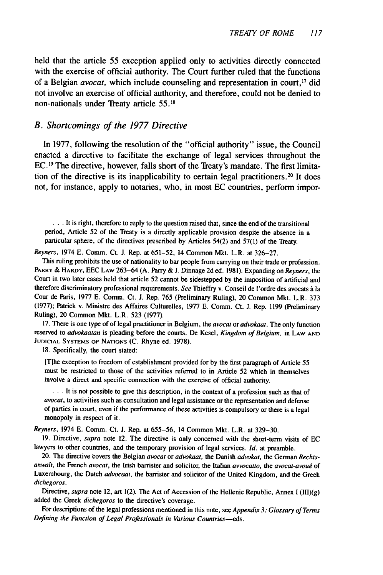held that the article 55 exception applied only to activities directly connected with the exercise of official authority. The Court further ruled that the functions of a Belgian *avocat*, which include counseling and representation in court,<sup>17</sup> did not involve an exercise of official authority, and therefore, could not be denied to non-nationals under Treaty article **55.18**

#### *B. Shortcomings of the 1977 Directive*

In 1977, following the resolution of the "official authority" issue, the Council enacted a directive to facilitate the exchange of legal services throughout the EC. 19 The directive, however, falls short of the Treaty's mandate. The first limitation of the directive is its inapplicability to certain legal practitioners. 20 It does not, for instance, apply to notaries, who, in most EC countries, perform impor-

**...** It is right, therefore to reply to the question raised that, since the end of the transitional period, Article 52 of the Treaty is a directly applicable provision despite the absence in a particular sphere, of the directives prescribed **by** Articles 54(2) and 57(1) of the Treaty.

*Reyners,* 1974 E. Comm. Ct. J. Rep. at 651-52, 14 Common Mkt. L.R. at 326-27.

This ruling prohibits the use of nationality to bar people from carrying on their trade or profession. **PARRY** & **HARDY,** EEC LAW 263-64 (A. **Parry** & J. Dinnage 2d ed. **198 1).** Expanding on *Reyners,* the Court in **two** later cases held that article 52 cannot be sidestepped **by** the imposition of artificial and therefore discriminatory professional requirements. *See* Thieffry v. Conseil de l'ordre des avocats **A** la Cour de Paris, 1977 E. Comm. Ct. J. Rep. 765 (Preliminary Ruling), 20 Common Mkt. L.R. 373 (1977); Patrick v. Ministre des Affaires Culturelles, **1977** E. Comm. Ct. **J.** Rep. 1199 (Preliminary Ruling), 20 Common Mkt. L.R. 523 **(1977).**

**17.** There is one type of of legal practitioner in Belgium, the *avocat or advokaat.* The only function reserved to *advokaatan* is pleading before the courts. De Kesel, *Kingdom of Belgium,* in LAW **AND JUDICIAL** SYSTEMS OF NATIONS **(C.** Rhyne ed. **1978).**

**18.** Specifically, the court stated:

**[T]he** exception to freedom of establishment provided for **by** the first paragraph of Article 55 must be restricted to those of the activities referred to in Article **52** which in themselves involve a direct and specific connection with the exercise of official authority.

**...** It is not possible to give this description, in the context of a profession such as that of *avocat,* to activities such as consultation and legal assistance or the representation and defense of parties in court, even if the performance of these activities is compulsory or there is a legal monopoly in respect of it.

*Reyners,* 1974 E. Comm. Ct. **J.** Rep. at **655-56,** 14 Common Mkt. L.R. at **329-30.**

**19.** Directive, *supra* note 12. The directive is only concerned with the short-term visits of **EC** lawyers to other countries, and the temporary provision of legal services. *Id.* at preamble.

20. The directive tovers the Belgian *avocat* or *advokaat,* the Danish *advokat,* the German *Rechtsanwalt,* the French *avocat,* the Irish barrister and solicitor, the Italian *avvocatto,* the *avocat-avoud* of Luxembourg, the Dutch *advocaat,* the barrister and solicitor of the United Kingdom, and the Greek *dichegoros.*

Directive, *supra* note 12, art 1(2). The Act of Accession of the Hellenic Republic, Annex I (l1)(g) added the Greek *dichegoros* to the directive's coverage.

For descriptions of the legal professions mentioned in this note, see *Appendix 3: Glossary of Terms Defining the Function of Legal Professionals in Various Countries-eds.*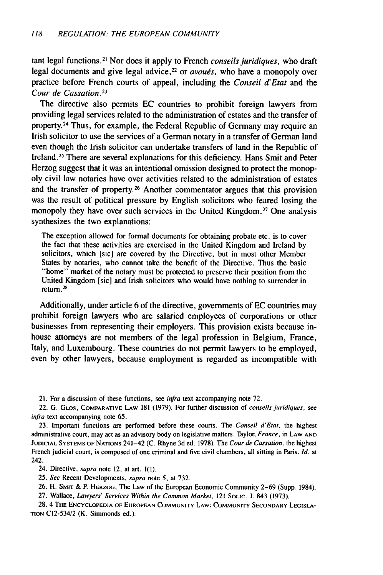tant legal functions. 21 Nor does it apply to French *conseils juridiques,* who draft legal documents and give legal advice,<sup>22</sup> or *avoués*, who have a monopoly over practice before French courts of appeal, including the *Conseil d'Etat* and the *Cour de Cassation.23*

The directive also permits **EC** countries to prohibit foreign lawyers from providing legal services related to the administration of estates and the transfer of property.<sup>24</sup> Thus, for example, the Federal Republic of Germany may require an Irish solicitor to use the services of a German notary in a transfer of German land even though the Irish solicitor can undertake transfers of land in the Republic of Ireland.<sup>25</sup> There are several explanations for this deficiency. Hans Smit and Peter Herzog suggest that it was an intentional omission designed to protect the monopoly civil law notaries have over activities related to the administration of estates and the transfer of property.26 Another commentator argues that this provision was the result of political pressure **by** English solicitors who feared losing the monopoly they have over such services in the United Kingdom.<sup>27</sup> One analysis synthesizes the two explanations:

The exception allowed for formal documents for obtaining probate etc. is to cover the fact that these activities are exercised in the United Kingdom and Ireland **by** solicitors, which [sic] are covered **by** the Directive, but in most other Member States **by** notaries, who cannot take the benefit of the Directive. Thus the basic "home" market of the notary must be protected to preserve their position from the United Kingdom [sic] and Irish solicitors who would have nothing to surrender in **return.28**

Additionally, under article 6 of the directive, governments of EC countries may prohibit foreign lawyers who are salaried employees of corporations or other businesses from representing their employers. This provision exists because inhouse attorneys are not members of the legal profession in Belgium, France, Italy, and Luxembourg. These countries do not permit lawyers to be employed, even by other lawyers, because employment is regarded as incompatible with

21. For a discussion of these functions, see infra text accompanying note 72.

22. G. GLOs, COMPARATIVE **LAW 181 (1979).** For further discussion of *conseils juridiques,* see *infra* text accompanying note 65.

23. Important functions are performed before these courts. The Conseil *d'Etat,* the highest administrative court, may act as an advisory body on legislative matters. Taylor, *France,* in LAW **AND JUDICIAL SYSTEMS** OF NATIONS 241-42 (C. Rhyne 3d ed. 1978). The Cour de Cassation, the highest French judicial court, is composed of one criminal and five civil chambers, all sitting in Paris. *Id.* at 242.

24. Directive, *supra* note 12, at art. ](1).

25. *See* Recent Developments, *supra* note 5, at 732.

26. H. SMIT & P. HERZOG, The Law of the European Economic Community 2-69 (Supp. 1984).

27. Wallace, *Lawyers' Services Within the Common Market,* 121 **SOLIC.** J. 843 (1973).

**28.** 4 THE **ENCYCLOPEDIA** OF **EUROPEAN COMMUNITY** LAW: **COMMUNITY SECONDARY LEGISLA-TION** C12-534/2 (K. Simmonds ed.).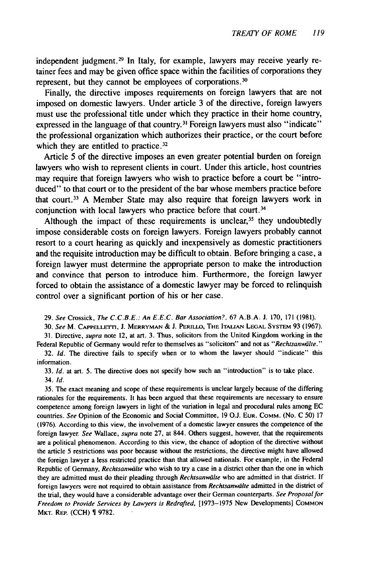independent judgment. 29 In Italy, for example, lawyers may receive yearly retainer fees and may be given office space within the facilities of corporations they represent, but they cannot be employees of corporations.<sup>30</sup>

Finally, the directive imposes requirements on foreign lawyers that are not imposed on domestic lawyers. Under article 3 of the directive, foreign lawyers must use the professional title under which they practice in their home country, expressed in the language of that country.<sup>31</sup> Foreign lawyers must also "indicate" the professional organization which authorizes their practice, or the court before which they are entitled to practice.<sup>32</sup>

Article 5 of the directive imposes an even greater potential burden on foreign lawyers who wish to represent clients in court. Under this article, host countries may require that foreign lawyers who wish to practice before a court be "introduced" to that court or to the president of the bar whose members practice before that court. 33 A Member State may also require that foreign lawyers work in conjunction with local lawyers who practice before that court.<sup>34</sup>

Although the impact of these requirements is unclear, $35$  they undoubtedly impose considerable costs on foreign lawyers. Foreign lawyers probably cannot resort to a court hearing as quickly and inexpensively as domestic practitioners and the requisite introduction may be difficult to obtain. Before bringing a case, a foreign lawyer must determine the appropriate person to make the introduction and convince that person to introduce him. Furthermore, the foreign lawyer forced to obtain the assistance of a domestic lawyer may be forced to relinquish control over a significant portion of his or her case.

29. See Crossick, *The C.C.B.E.: An E.E.C. Bar Association?,* 67 A.B.A. J. 170, 171 (1981).

30. See M. CAPPELLETTI, **J.** MERRYMAN **& J.** PERILLO, THE **ITALIAN LEGAL** SYSTEM 93 (1967).

31. Directive, supra note 12, at art. 3. Thus, solicitors from the United Kingdom working in the Federal Republic of Germany would refer to themselves as "solicitors" and not as *"'Rechtsanwalte. "*

32. *Id.* The directive fails to specify when or to whom the lawyer should "indicate" this information.

33. *Id.* at art. 5. The directive does not specify how such an "introduction" is to take place. 34. Id.

35. The exact meaning and scope of these requirements is unclear largely because of the differing rationales for the requirements. It has been argued that these requirements are necessary to ensure competence among foreign lawyers in light of the variation in legal and procedural rules among EC countries. *See* Opinion of the Economic and Social Committee, 19 O.J. **EUR.** COMM. (No. C 50) 17 (1976). According to this view, the involvement of a domestic lawyer ensures the competence of the foreign lawyer. *See* Wallace, *supra* note 27, at 844. Others suggest, however, that the requirements are a political phenomenon. According to this view, the chance of adoption of the directive without the article 5 restrictions was poor because without the restrictions, the directive might have allowed the foreign lawyer a less restricted practice than that allowed nationals. For example, in the Federal Republic of Germany, *Rechtsanwälte* who wish to try a case in a district other than the one in which they are admitted must do their pleading through Rechtsanwälte who are admitted in that district. If foreign lawyers were not required to obtain assistance from *Rechtsanwälte* admitted in the district of the trial, they would have a considerable advantage over their German counterparts. *See Proposal for Freedom to Provide Services by Lawyers* is Redrafted, 11973-1975 New Developments] **COMMON** MKT. REP. (CCH) **\$** 9782.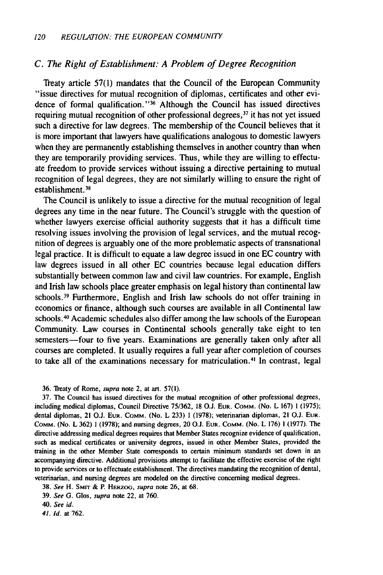#### *C. The Right of Establishment: A Problem of Degree Recognition*

Treaty article 57(1) mandates that the Council of the European Community "issue directives for mutual recognition of diplomas, certificates and other evidence of formal qualification."<sup>36</sup> Although the Council has issued directives requiring mutual recognition of other professional degrees, $37$  it has not yet issued such a directive for law degrees. The membership of the Council believes that it is more important that lawyers have qualifications analogous to domestic lawyers when they are permanently establishing themselves in another country than when they are temporarily providing services. Thus, while they are willing to effectuate freedom to provide services without issuing a directive pertaining to mutual recognition of legal degrees, they are not similarly willing to ensure the right of establishment.<sup>38</sup>

The Council is unlikely to issue a directive for the mutual recognition of legal degrees any time in the near future. The Council's struggle with the question of whether lawyers exercise official authority suggests that it has a difficult time resolving issues involving the provision of legal services, and the mutual recognition of degrees is arguably one of the more problematic aspects of transnational legal practice. It is difficult to equate a law degree issued in one EC country with law degrees issued in all other EC countries because legal education differs substantially between common law and civil law countries. For example, English and Irish law schools place greater emphasis on legal history than continental law schools.<sup>39</sup> Furthermore, English and Irish law schools do not offer training in economics or finance, although such courses are available in all Continental law schools.<sup>40</sup> Academic schedules also differ among the law schools of the European Community. Law courses in Continental schools generally take eight to ten semesters-four to five years. Examinations are generally taken only after all courses are completed. It usually requires a full year after completion of courses to take all of the examinations necessary for matriculation.<sup>41</sup> In contrast, legal

36. Treaty of Rome, supra note 2, at art. 57(1).

**37.** The Council has issued directives for the mutual recognition of other professional degrees, including medical diplomas, Council Directive 75/362, 18 O.J. **EUR.** COMM. (No. L 167) **1** (1975); dental diplomas, 21 **O.J. EUR. COMM.** (No. L **233)** 1 (1978); veterinarian diplomas, 21 **O.J. EUR.** COMM. (No. L 362) 1 (1978); and nursing degrees, 20 **0. EUR.** COMM. (No. L 176) **1** (1977). The directive addressing medical degrees requires that Member States recognize evidence of qualification, such as medical certificates or university degrees, issued in other Member States, provided the training in the other Member State corresponds to certain minimum standards set down in an accompanying directive. Additional provisions attempt to facilitate the effective exercise of the right to provide services or to effectuate establishment. The directives mandating the recognition of dental, veterinarian, and nursing degrees are modeled on the directive concerning medical degrees.

38. *See* H. SMrr **&** P. HERzoo, *supra* note **26,** at **68.**

39. *See G.* Glos, supra note 22, at 760.

*41. Id.* at 762.

*<sup>40.</sup> See id.*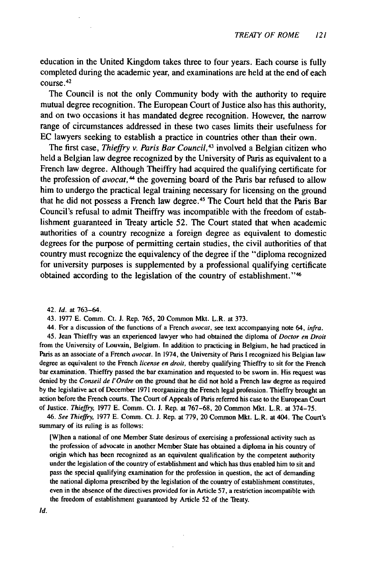education in the United Kingdom takes three to four years. Each course is fully completed during the academic year, and examinations are held at the end of each course. <sup>42</sup>

The Council is not the only Community body with the authority to require mutual degree recognition. The European Court of Justice also has this authority, and on two occasions it has mandated degree recognition. However, the narrow range of circumstances addressed in these two cases limits their usefulness for EC lawyers seeking to establish a practice in countries other than their own.

The first case, *Thieffry v. Paris Bar Council*,<sup>43</sup> involved a Belgian citizen who held a Belgian law degree recognized by the University of Paris as equivalent to a French law degree. Although Theiffry had acquired the qualifying certificate for the profession of *avocat*,<sup>44</sup> the governing board of the Paris bar refused to allow him to undergo the practical legal training necessary for licensing on the ground that he did not possess a French law degree.<sup>45</sup> The Court held that the Paris Bar Council's refusal to admit Theiffry was incompatible with the freedom of establishment guaranteed in Treaty article 52. The Court stated that when academic authorities of a country recognize a foreign degree as equivalent to domestic degrees for the purpose of permitting certain studies, the civil authorities of that country must recognize the equivalency of the degree if the "diploma recognized for university purposes is supplemented by a professional qualifying certificate obtained according to the legislation of the country of establishment."46

- 42. **Id.** at 763-64.
- 43. 1977 E. Comm. Ct. J. Rep. 765, 20 Common Mkt. L.R. at 373.

44. For a discussion of the functions of a French avocat, see text accompanying note 64, infra.

45. Jean Thieffry was an experienced lawyer who had obtained the diploma of Doctor en Droit from the University of Louvain, Belgium. In addition to practicing in Belgium, he had practiced in Paris as an associate of a French avocat. In 1974, the University of Paris I recognized his Belgian law degree as equivalent to the French license en droit, thereby qualifying Thieffry to sit for the French bar examination. Thieffry passed the bar examination and requested to be sworn in. His request was denied by the *Conseil de l'Ordre* on the ground that he did not hold a French law degree as required by the legislative act of December 1971 reorganizing the French legal profession. Thieffry brought an action before the French courts. The Court of Appeals of Paris referred his case to the European Court of Justice. *Thieffry,* 1977 E. Comm. Ct. J. Rep. at 767-68, 20 Common Mkt. L.R. at 374-75.

46. *See Thieffry,* 1977 E. Comm. Ct. J. Rep. at 779, 20 Common Mkt. L.R. at 404. The Court's summary of its ruling is as follows:

[Wihen a national of one Member State desirous of exercising a professional activity such as the profession of advocate in another Member State has obtained a diploma in his country of origin which has been recognized as an equivalent qualification by the competent authority under the legislation of the country of establishment and which has thus enabled him to sit and pass the special qualifying examination for the profession in question, the act of demanding the national diploma prescribed by the legislation of the country of establishment constitutes, even in the absence of the directives provided for in Article 57, a restriction incompatible with the freedom of establishment guaranteed by Article 52 of the Treaty.

 $Id.$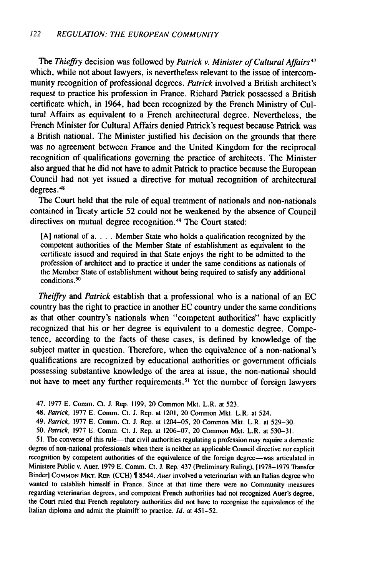The *Thieffry* decision was followed by *Patrick v. Minister of Cultural Affairs47* which, while not about lawyers, is nevertheless relevant to the issue of intercommunity recognition of professional degrees. *Patrick* involved a British architect's request to practice his profession in France. Richard Patrick possessed a British certificate which, in 1964, had been recognized by the French Ministry of Cultural Affairs as equivalent to a French architectural degree. Nevertheless, the French Minister for Cultural Affairs denied Patrick's request because Patrick was a British national. The Minister justified his decision on the grounds that there was no agreement between France and the United Kingdom for the reciprocal recognition of qualifications governing the practice of architects. The Minister also argued that he did not have to admit Patrick to practice because the European Council had not yet issued a directive for mutual recognition of architectural degrees.<sup>48</sup>

The Court held that the rule of equal treatment of nationals and non-nationals contained in Treaty article 52 could not be weakened by the absence of Council directives on mutual degree recognition. 49 The Court stated:

[A] national of a **....** Member State who holds a qualification recognized by the competent authorities of the Member State of establishment as equivalent to the certificate issued and required in that State enjoys the right to be admitted to the profession of architect and to practice it under the same conditions as nationals of the Member State of establishment without being required to satisfy any additional conditions. <sup>50</sup>

*Theiffry* and *Patrick* establish that a professional who is a national of an EC country has the right to practice in another EC country under the same conditions as that other country's nationals when "competent authorities" have explicitly recognized that his or her degree is equivalent to a domestic degree. Competence, according to the facts of these cases, is defined by knowledge of the subject matter in question. Therefore, when the equivalence of a non-national's qualifications are recognized by educational authorities or government officials possessing substantive knowledge of the area at issue, the non-national should not have to meet any further requirements.<sup>51</sup> Yet the number of foreign lawyers

- 47. 1977 E. Comm. Ct. J. Rep. 1199, 20 Common Mkt. L.R. at 523.
- 48. *Patrick,* 1977 E. Comm. Ct. J. Rep. at 1201, 20 Common Mkt. L.R. at 524.
- 49. *Patrick,* 1977 **E.** Comm. Ct. J. Rep. at 1204-05, 20 Common Mkt. L.R. at 529-30.
- 50. *Patrick,* 1977 E. Comm. Ct. J. Rep. at 1206-07, 20 Common Mkt. L.R. at 530-31.

51. The converse of this rule-that civil authorities regulating a profession may require a domestic degree of non-national professionals when there is neither an applicable Council directive nor explicit recognition by competent authorities of the equivalence of the foreign degree-was articulated in Ministere Public v. Auer, 1979 E. Comm. Ct. J. Rep. 437 (Preliminary Ruling), [1978-1979 Transfer Binder] **COMMON MKT.** REP. (CCH) **\$** 8544. *Auer* involved a veterinarian with an Italian degree who wanted to establish himself in France. Since at that time there were no Community measures regarding veterinarian degrees, and competent French authorities had not recognized Auer's degree, the Court ruled that French regulatory authorities did not have to recognize the equivalence of the Italian diploma and admit the plaintiff to practice. *Id.* at 451-52.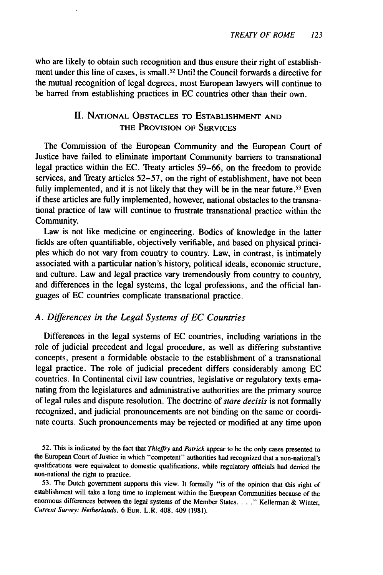who are likely to obtain such recognition and thus ensure their right of establishment under this line of cases, is small.<sup>52</sup> Until the Council forwards a directive for the mutual recognition of legal degrees, most European lawyers will continue to be barred from establishing practices in EC countries other than their own.

### II. NATIONAL **OBSTACLES** TO ESTABLISHMENT **AND** THE PROVISION OF SERVICES

The Commission of the European Community and the European Court of Justice have failed to eliminate important Community barriers to transnational legal practice within the EC. Treaty articles 59-66, on the freedom to provide services, and Treaty articles 52-57, on the right of establishment, have not been fully implemented, and it is not likely that they will be in the near future.<sup>53</sup> Even if these articles are fully implemented, however, national obstacles to the transnational practice of law will continue to frustrate transnational practice within the Community.

Law is not like medicine or engineering. Bodies of knowledge in the latter fields are often quantifiable, objectively verifiable, and based on physical principles which do not vary from country to country. Law, in contrast, is intimately associated with a particular nation's history, political ideals, economic structure, and culture. Law and legal practice vary tremendously from country to country, and differences in the legal systems, the legal professions, and the official languages of EC countries complicate transnational practice.

#### *A. Differences in the Legal Systems of EC Countries*

Differences in the legal systems of EC countries, including variations in the role of judicial precedent and legal procedure, as well as differing substantive concepts, present a formidable obstacle to the establishment of a transnational legal practice. The role of judicial precedent differs considerably among EC countries. In Continental civil law countries, legislative or regulatory texts emanating from the legislatures and administrative authorities are the primary source of legal rules and dispute resolution. The doctrine of *stare decisis* is not formally recognized, and judicial pronouncements are not binding on the same or coordinate courts. Such pronouncements may be rejected or modified at any time upon

52. This is indicated **by** the fact that Thieffry *and Patrick* appear to be the only cases presented to the European Court of Justice in which "competent" authorities had recognized that a non-national's qualifications were equivalent to domestic qualifications, while regulatory officials had denied the non-national the right to practice.

53. The Dutch government supports this view. It formally "is of the opinion that this right of establishment will take a long time to implement within the European Communities because of the enormous differences between the legal systems of the Member States. . . ." Kellerman & Winter, Current Survey: Netherlands, 6 **EUR.** L.R. 408, 409 (1981).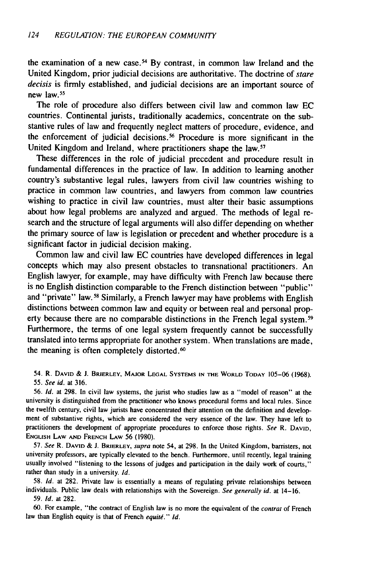the examination of a new case.<sup>54</sup> By contrast, in common law Ireland and the United Kingdom, prior judicial decisions are authoritative. The doctrine of stare decisis is firmly established, and judicial decisions are an important source of new law.<sup>55</sup>

The role of procedure also differs between civil law and common law EC countries. Continental jurists, traditionally academics, concentrate on the substantive rules of law and frequently neglect matters of procedure, evidence, and the enforcement of judicial decisions.<sup>56</sup> Procedure is more significant in the United Kingdom and Ireland, where practitioners shape the law.<sup>57</sup>

These differences in the role of judicial precedent and procedure result in fundamental differences in the practice of law. In addition to learning another country's substantive legal rules, lawyers from civil law countries wishing to practice in common law countries, and lawyers from common law countries wishing to practice in civil law countries, must alter their basic assumptions about how legal problems are analyzed and argued. The methods of legal research and the structure of legal arguments will also differ depending on whether the primary source of law is legislation or precedent and whether procedure is a significant factor in judicial decision making.

Common law and civil law EC countries have developed differences in legal concepts which may also present obstacles to transnational practitioners. An English lawyer, for example, may have difficulty with French law because there is no English distinction comparable to the French distinction between "public" and "private" law.<sup>58</sup> Similarly, a French lawyer may have problems with English distinctions between common law and equity or between real and personal property because there are no comparable distinctions in the French legal system.<sup>59</sup> Furthermore, the terms of one legal system frequently cannot be successfully translated into terms appropriate for another system. When translations are made, the meaning is often completely distorted.<sup>60</sup>

54. R. DAVID & J. BRIERLEY, MAJOR LEGAL SYSTEMS **IN** THE WORLD TODAY 105-06 (1968). 55. See *id.* at 316.

56. **Id.** at 298. In civil law systems, the jurist who studies law as a "model of reason" at the university is distinguished from the practitioner who knows procedural forms and local rules. Since the twelfth century, civil law jurists have concentrated their attention on the definition and development of substantive rights, which are considered the very essence of the law. They have left to practitioners the development of appropriate procedures to enforce those rights. See R. **DAVID, ENGLISH** LAW **AND** FRENCH LAW 56 (1980).

57. See R. DAVID **&** J. BRIERLEY, supra note 54, at 298. In the United Kingdom, barristers, not university professors, are typically elevated to the bench. Furthermore, until recently, legal training usually involved "listening to the lessons of judges and participation in the daily work of courts," rather than study in a university. **Id.**

58. Id. at 282. Private law is essentially a means of regulating private relationships between individuals. Public law deals with relationships with the Sovereign. See generally *id.* at 14-16. 59. *Id.* at 282.

60. For example, "the contract of English law is no more the equivalent of the contrat of French law than English equity is that of French equité." Id.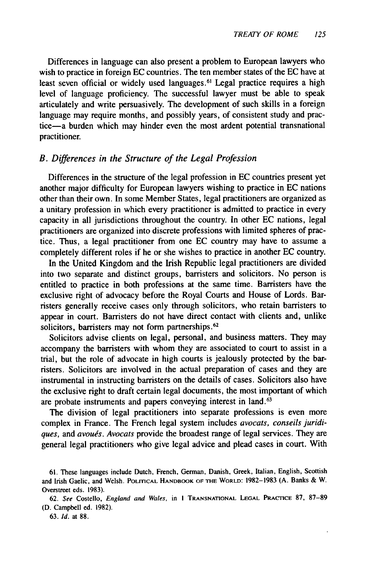Differences in language can also present a problem to European lawyers who wish to practice in foreign EC countries. The ten member states of the EC have at least seven official or widely used languages.<sup>61</sup> Legal practice requires a high level of language proficiency. The successful lawyer must be able to speak articulately and write persuasively. The development of such skills in a foreign language may require months, and possibly years, of consistent study and practice-a burden which may hinder even the most ardent potential transnational practitioner.

#### *B. Differences in the Structure of the Legal Profession*

Differences in the structure of the legal profession in EC countries present yet another major difficulty for European lawyers wishing to practice in EC nations other than their own. In some Member States, legal practitioners are organized as a unitary profession in which every practitioner is admitted to practice in every capacity in all jurisdictions throughout the country. In other EC nations, legal practitioners are organized into discrete professions with limited spheres of practice. Thus, a legal practitioner from one EC country may have to assume a completely different roles if he or she wishes to practice in another EC country.

In the United Kingdom and the Irish Republic legal practitioners are divided into two separate and distinct groups, barristers and solicitors. No person is entitled to practice in both professions at the same time. Barristers have the exclusive right of advocacy before the Royal Courts and House of Lords. Barristers generally receive cases only through solicitors, who retain barristers to appear in court. Barristers do not have direct contact with clients and, unlike solicitors, barristers may not form partnerships.<sup>62</sup>

Solicitors advise clients on legal, personal, and business matters. They may accompany the barristers with whom they are associated to court to assist in a trial, but the role of advocate in high courts is jealously protected by the barristers. Solicitors are involved in the actual preparation of cases and they are instrumental in instructing barristers on the details of cases. Solicitors also have the exclusive right to draft certain legal documents, the most important of which are probate instruments and papers conveying interest in land.<sup>63</sup>

The division of legal practitioners into separate professions is even more complex in France. The French legal system includes *avocats, conseils juridiques, and avougs. Avocats* provide the broadest range of legal services. They are general legal practitioners who give legal advice and plead cases in court. With

<sup>61.</sup> These languages include Dutch, French, German, Danish, Greek, Italian, English, Scottish and Irish Gaelic, and Welsh. POLITICAL HANDBOOK OF THE WORLD: 1982-1983 (A. Banks & W. Overstreet eds. 1983).

<sup>62.</sup> *See* Costello, *England and Wales,* in I **TRANSNATIONAL LEGAL** PRACTICE 87, 87-89 (D. Campbell ed. 1982).

<sup>63.</sup> *Id.* at 88.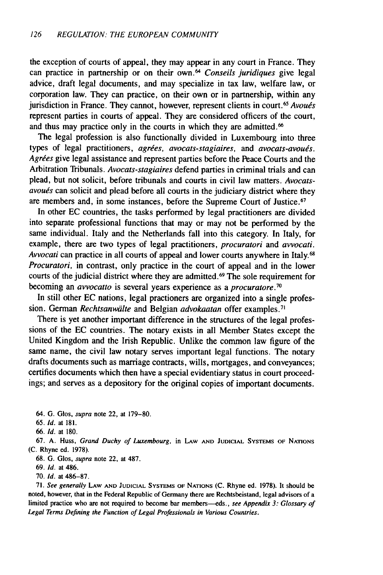the exception of courts of appeal, they may appear in any court in France. They can practice in partnership or on their own. <sup>64</sup>*Conseils juridiques* give legal advice, draft legal documents, and may specialize in tax law, welfare law, or corporation law. They can practice, on their own or in partnership, within any jurisdiction in France. They cannot, however, represent clients in court.<sup>65</sup> Avoués represent parties in courts of appeal. They are considered officers of the court, and thus may practice only in the courts in which they are admitted.<sup>66</sup>

The legal profession is also functionally divided in Luxembourg into three types of legal practitioners, *agries, avocats-stagiaires, and avocats-avoues.* Agrées give legal assistance and represent parties before the Peace Courts and the Arbitration Tribunals. *Avocats-stagiaires* defend parties in criminal trials and can plead, but not solicit, before tribunals and courts in civil law matters. *Avocatsavougs* can solicit and plead before all courts in the judiciary district where they are members and, in some instances, before the Supreme Court of Justice.<sup>67</sup>

In other EC countries, the tasks performed by legal practitioners are divided into separate professional functions that may or may not be performed by the same individual. Italy and the Netherlands fall into this category. In Italy, for example, there are two types of legal practitioners, *procuratori and avvocati. Avvocati* can practice in all courts of appeal and lower courts anywhere in Italy. <sup>68</sup> *Procuratori,* in contrast, only practice in the court of appeal and in the lower courts of the judicial district where they are admitted.<sup>69</sup> The sole requirement for becoming an *avvocatto* is several years experience as a *procuratore.70*

In still other EC nations, legal practioners are organized into a single profession. German *Rechtsanwalte* and Belgian *advokaatan* offer examples.<sup>7</sup> '

There is yet another important difference in the structures of the legal professions of the EC countries. The notary exists in all Member States except the United Kingdom and the Irish Republic. Unlike the common law figure of the same name, the civil law notary serves important legal functions. The notary drafts documents such as marriage contracts, wills, mortgages, and conveyances; certifies documents which then have a special evidentiary status in court proceedings; and serves as a depository for the original copies of important documents.

64. G. Glos, supra note 22, at 179-80.

65. *Id.* at 181.

66. *Id.* at 180.

**67.** A. Huss, *Grand Duchy* of Luxembourg, in **LAW AND JUDICIAL SYSTEMS OF NATIONS** (C. Rhyne ed. 1978).

68. G. Glos, *supra* note 22, at 487.

69. *Id.* at 486.

70. *Id.* at 486-87.

71. See generally LAW **AND JUDICIAL SYSTEMS OF** NATIONS **(C.** Rhyne ed. 1978). It should be noted, however, that in the Federal Republic of Germany there are Rechtsbeistand, legal advisors of a limited practice who are not required to become bar members-eds., *see Appendix 3: Glossary of Legal Terms Defining the* Function of Legal *Professionals in Various* Countries.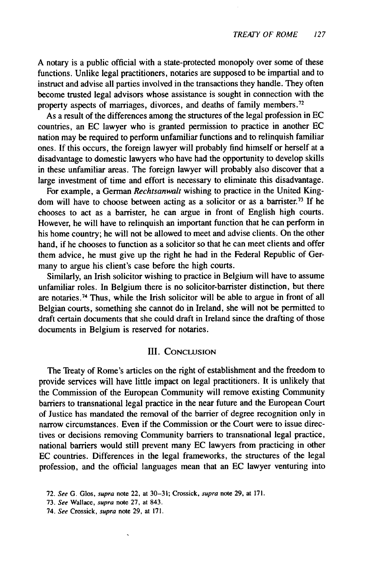A notary is a public official with a state-protected monopoly over some of these functions. Unlike legal practitioners, notaries are supposed to be impartial and to instruct and advise all parties involved in the transactions they handle. They often become trusted legal advisors whose assistance is sought in connection with the property aspects of marriages, divorces, and deaths of family members.<sup>72</sup>

As a result of the differences among the structures of the legal profession in EC countries, an EC lawyer who is granted permission to practice in another EC nation may be required to perform unfamiliar functions and to relinquish familiar ones. If this occurs, the foreign lawyer will probably find himself or herself at a disadvantage to domestic lawyers who have had the opportunity to develop skills in these unfamiliar areas. The foreign lawyer will probably also discover that a large investment of time and effort is necessary to eliminate this disadvantage.

For example, a German *Rechtsanwalt* wishing to practice in the United Kingdom will have to choose between acting as a solicitor or as a barrister.<sup>73</sup> If he chooses to act as a barrister, he can argue in front of English high courts. However, he will have to relinquish an important function that he can perform in his home country; he will not be allowed to meet and advise clients. On the other hand, if he chooses to function as a solicitor so that he can meet clients and offer them advice, he must give up the right he had in the Federal Republic of Germany to argue his client's case before the high courts.

Similarly, an Irish solicitor wishing to practice in Belgium will have to assume unfamiliar roles. In Belgium there is no solicitor-barrister distinction, but there are notaries. 74 Thus, while the Irish solicitor will be able to argue in front of all Belgian courts, something she cannot do in Ireland, she will not be permitted to draft certain documents that she could draft in Ireland since the drafting of those documents in Belgium is reserved for notaries.

#### **III.** CONCLUSION

The Treaty of Rome's articles on the right of establishment and the freedom to provide services will have little impact on legal practitioners. It is unlikely that the Commission of the European Community will remove existing Community barriers to transnational legal practice in the near future and the European Court of Justice has mandated the removal of the barrier of degree recognition only in narrow circumstances. Even if the Commission or the Court were to issue directives or decisions removing Community barriers to transnational legal practice, national barriers would still prevent many EC lawyers from practicing in other EC countries. Differences in the legal frameworks, the structures of the legal professioo, and the official languages mean that an EC lawyer venturing into

<sup>72.</sup> *See* G. Glos, supra note 22, at 30-31; Crossick, supra note 29, at 171.

<sup>73.</sup> See Wallace, supra note 27, at 843.

<sup>74.</sup> See Crossick, supra note 29, at 171.